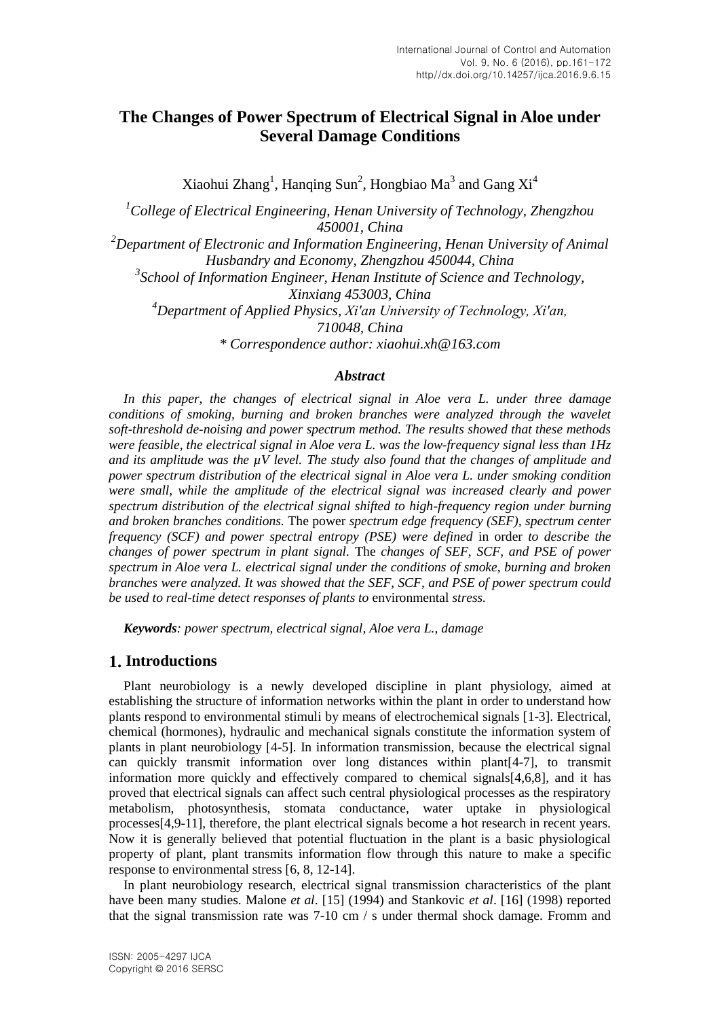# **The Changes of Power Spectrum of Electrical Signal in Aloe under Several Damage Conditions**

Xiaohui Zhang<sup>1</sup>, Hanqing Sun<sup>2</sup>, Hongbiao Ma<sup>3</sup> and Gang Xi<sup>4</sup>

*<sup>1</sup>College of Electrical Engineering, Henan University of Technology, Zhengzhou 450001, China <sup>2</sup>Department of Electronic and Information Engineering, Henan University of Animal Husbandry and Economy, Zhengzhou 450044, China 3 School of Information Engineer, Henan Institute of Science and Technology, Xinxiang 453003, China <sup>4</sup>Department of Applied Physics, Xi′an University of Technology, Xi′an, 710048, China \* Correspondence author: [xiaohui.xh@163.com](mailto:xiaohui.xh@163.com)*

### *Abstract*

*In this paper, the changes of electrical signal in Aloe vera L. under three damage conditions of smoking, burning and broken branches were analyzed through the wavelet soft-threshold de-noising and power spectrum method. The results showed that these methods were feasible, the electrical signal in Aloe vera L. was the low-frequency signal less than 1Hz and its amplitude was the µV level. The study also found that the changes of amplitude and power spectrum distribution of the electrical signal in Aloe vera L. under smoking condition were small, while the amplitude of the electrical signal was increased clearly and power spectrum distribution of the electrical signal shifted to high-frequency region under burning and broken branches conditions.* The power *spectrum edge frequency (SEF), spectrum center frequency (SCF) and power spectral entropy (PSE) were defined* in order *to describe the changes of power spectrum in plant signal.* The *changes of SEF, SCF, and PSE of power spectrum in Aloe vera L. electrical signal under the conditions of smoke, burning and broken branches were analyzed. It was showed that the SEF, SCF, and PSE of power spectrum could be used to real-time detect responses of plants to* environmental *stress.* 

*Keywords: power spectrum, electrical signal, Aloe vera L., damage*

## **1. Introductions**

Plant neurobiology is a newly developed discipline in plant physiology, aimed at establishing the structure of information networks within the plant in order to understand how plants respond to environmental stimuli by means of electrochemical signals [1-3]. Electrical, chemical (hormones), hydraulic and mechanical signals constitute the information system of plants in plant neurobiology [4-5]. In information transmission, because the electrical signal can quickly transmit information over long distances within plant[4-7], to transmit information more quickly and effectively compared to chemical signals[4,6,8], and it has proved that electrical signals can affect such central physiological processes as the respiratory metabolism, photosynthesis, stomata conductance, water uptake in physiological processes[4,9-11], therefore, the plant electrical signals become a hot research in recent years. Now it is generally believed that potential fluctuation in the plant is a basic physiological property of plant, plant transmits information flow through this nature to make a specific response to environmental stress [6, 8, 12-14].

In plant neurobiology research, electrical signal transmission characteristics of the plant have been many studies. Malone *et al*. [15] (1994) and Stankovic *et al*. [16] (1998) reported that the signal transmission rate was 7-10 cm / s under thermal shock damage. Fromm and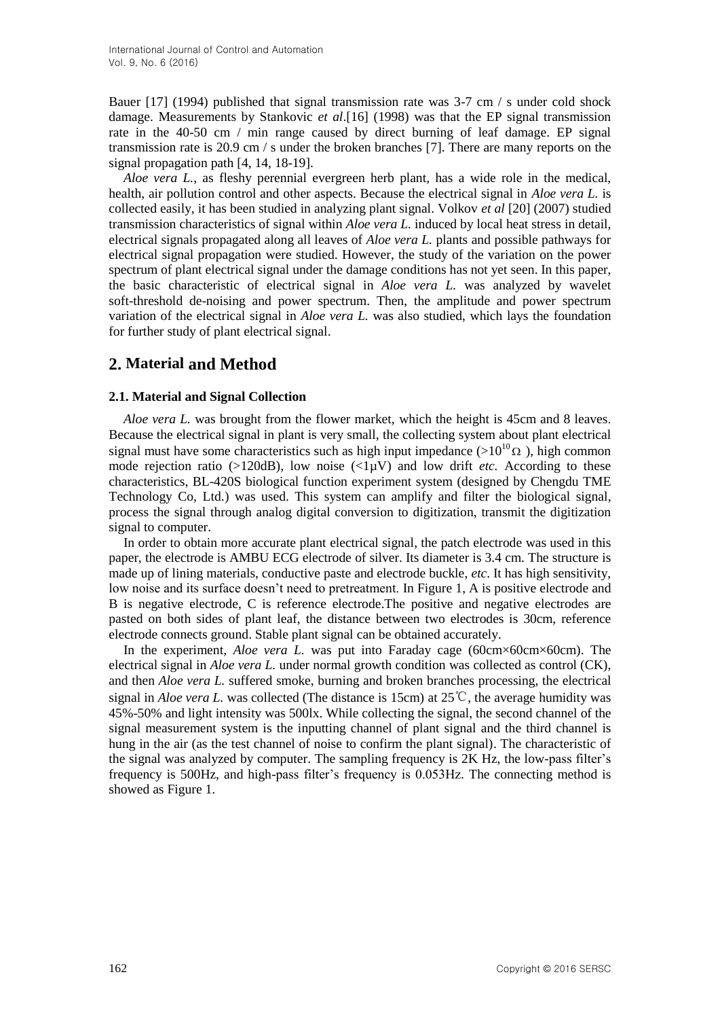Bauer [17] (1994) published that signal transmission rate was 3-7 cm / s under cold shock damage. Measurements by Stankovic *et al*.[16] (1998) was that the EP signal transmission rate in the 40-50 cm / min range caused by direct burning of leaf damage. EP signal transmission rate is 20.9 cm / s under the broken branches [7]. There are many reports on the signal propagation path [4, 14, 18-19].

*Aloe vera L.*, as fleshy perennial evergreen herb plant, has a wide role in the medical, health, air pollution control and other aspects. Because the electrical signal in *Aloe vera L.* is collected easily, it has been studied in analyzing plant signal. Volkov *et al* [20] (2007) studied transmission characteristics of signal within *Aloe vera L.* induced by local heat stress in detail, electrical signals propagated along all leaves of *Aloe vera L.* plants and possible pathways for electrical signal propagation were studied. However, the study of the variation on the power spectrum of plant electrical signal under the damage conditions has not yet seen. In this paper, the basic characteristic of electrical signal in *Aloe vera L.* was analyzed by wavelet soft-threshold de-noising and power spectrum. Then, the amplitude and power spectrum variation of the electrical signal in *Aloe vera L.* was also studied, which lays the foundation for further study of plant electrical signal.

# **2. Material and Method**

## **2.1. Material and Signal Collection**

*Aloe vera L.* was brought from the flower market, which the height is 45cm and 8 leaves. Because the electrical signal in plant is very small, the collecting system about plant electrical signal must have some characteristics such as high input impedance ( $>10^{10} \Omega$ ), high common mode rejection ratio ( $>120$ dB), low noise ( $<1\mu$ V) and low drift *etc*. According to these characteristics, BL-420S biological function experiment system (designed by Chengdu TME Technology Co, Ltd.) was used. This system can amplify and filter the biological signal, process the signal through analog digital conversion to digitization, transmit the digitization signal to computer.

In order to obtain more accurate plant electrical signal, the patch electrode was used in this paper, the electrode is AMBU ECG electrode of silver. Its diameter is 3.4 cm. The structure is made up of lining materials, conductive paste and electrode buckle, *etc*. It has high sensitivity, low noise and its surface doesn't need to pretreatment. In Figure 1, A is positive electrode and B is negative electrode, C is reference electrode.The positive and negative electrodes are pasted on both sides of plant leaf, the distance between two electrodes is 30cm, reference electrode connects ground. Stable plant signal can be obtained accurately.

In the experiment, *Aloe vera L.* was put into Faraday cage (60cm×60cm×60cm). The electrical signal in *Aloe vera L.* under normal growth condition was collected as control (CK), and then *Aloe vera L.* suffered smoke, burning and broken branches processing, the electrical signal in *Aloe vera L.* was collected (The distance is 15cm) at 25℃, the average humidity was 45%-50% and light intensity was 500lx. While collecting the signal, the second channel of the signal measurement system is the inputting channel of plant signal and the third channel is hung in the air (as the test channel of noise to confirm the plant signal). The characteristic of the signal was analyzed by computer. The sampling frequency is 2K Hz, the low-pass filter's frequency is 500Hz, and high-pass filter's frequency is 0.053Hz. The connecting method is showed as Figure 1.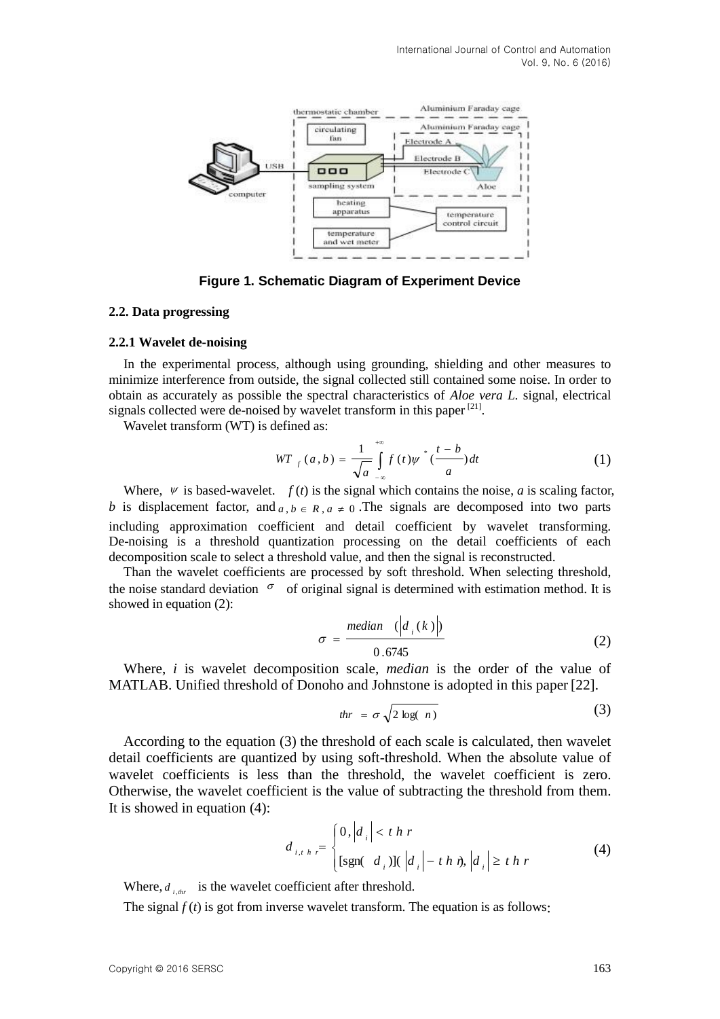

**Figure 1. Schematic Diagram of Experiment Device**

#### **2.2. Data progressing**

#### **2.2.1 Wavelet de-noising**

In the experimental process, although using grounding, shielding and other measures to minimize interference from outside, the signal collected still contained some noise. In order to obtain as accurately as possible the spectral characteristics of *Aloe vera L.* signal, electrical signals collected were de-noised by wavelet transform in this paper  $[21]$ .

Wavelet transform (WT) is defined as:

$$
WT_{f}(a,b) = \frac{1}{\sqrt{a}} \int_{-\infty}^{+\infty} f(t) \psi^{*}(\frac{t-b}{a}) dt
$$
 (1)

Where,  $\Psi$  is based-wavelet.  $f(t)$  is the signal which contains the noise, *a* is scaling factor, *b* is displacement factor, and  $a, b \in R$ ,  $a \ne 0$ . The signals are decomposed into two parts including approximation coefficient and detail coefficient by wavelet transforming. De-noising is a threshold quantization processing on the detail coefficients of each decomposition scale to select a threshold value, and then the signal is reconstructed.

Than the wavelet coefficients are processed by soft threshold. When selecting threshold, the noise standard deviation  $\sigma$  of original signal is determined with estimation method. It is showed in equation (2):

$$
\sigma = \frac{median \left( \left| d_i(k) \right| \right)}{0.6745} \tag{2}
$$

Where, *i* is wavelet decomposition scale, *median* is the order of the value of MATLAB. Unified threshold of Donoho and Johnstone is adopted in this paper [22].

$$
thr = \sigma \sqrt{2 \log(n)} \tag{3}
$$

According to the equation (3) the threshold of each scale is calculated, then wavelet detail coefficients are quantized by using soft-threshold. When the absolute value of wavelet coefficients is less than the threshold, the wavelet coefficient is zero. Otherwise, the wavelet coefficient is the value of subtracting the threshold from them. It is showed in equation (4):

$$
d_{i,t,h,r} = \begin{cases} 0, |d_i| < t h r \\ \text{[sgn}(d_i) \text{]} \left( |d_i| - t h \right), |d_i| \geq t h r \end{cases} \tag{4}
$$

Where,  $d_{i,thr}$  is the wavelet coefficient after threshold.

The signal  $f(t)$  is got from inverse wavelet transform. The equation is as follows: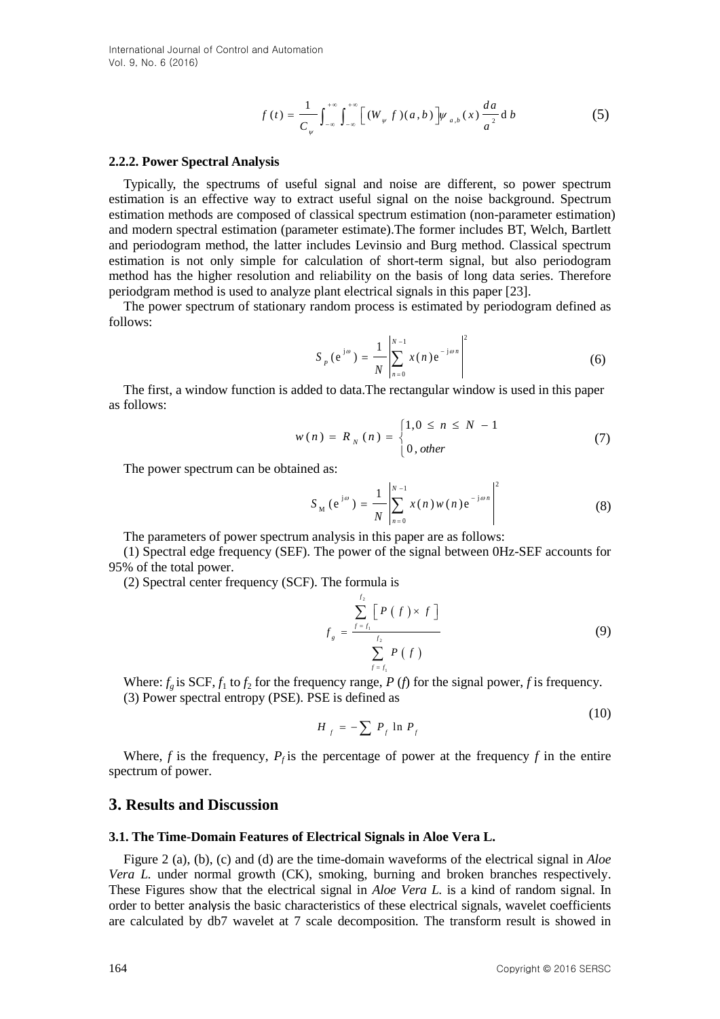International Journal of Control and Automation Vol. 9, No. 6 (2016)

$$
f(t) = \frac{1}{C_{\psi}} \int_{-\infty}^{+\infty} \int_{-\infty}^{+\infty} \left[ (W_{\psi} f)(a, b) \right] \psi_{a, b}(x) \frac{da}{a^2} d b \tag{5}
$$

#### **2.2.2. Power Spectral Analysis**

Typically, the spectrums of useful signal and noise are different, so power spectrum estimation is an effective way to extract useful signal on the noise background. Spectrum estimation methods are composed of classical spectrum estimation (non-parameter estimation) and modern spectral estimation (parameter estimate).The former includes BT, Welch, Bartlett and periodogram method, the latter includes Levinsio and Burg method. Classical spectrum estimation is not only simple for calculation of short-term signal, but also periodogram method has the higher resolution and reliability on the basis of long data series. Therefore periodgram method is used to analyze plant electrical signals in this paper [23].

The power spectrum of stationary random process is estimated by periodogram defined as follows:

$$
S_{p}(e^{j\omega}) = \frac{1}{N} \left| \sum_{n=0}^{N-1} x(n) e^{-j\omega n} \right|^{2}
$$
 (6)

The first, a window function is added to data.The rectangular window is used in this paper as follows:

$$
w(n) = R_N(n) = \begin{cases} 1, & 0 \le n \le N - 1 \\ 0, & \text{other} \end{cases}
$$
 (7)

The power spectrum can be obtained as:

$$
S_{\mathbf{M}}\left(e^{\mathbf{j}\omega}\right) = \frac{1}{N} \left| \sum_{n=0}^{N-1} x(n) w(n) e^{-\mathbf{j}\omega n} \right|^2 \tag{8}
$$

The parameters of power spectrum analysis in this paper are as follows:

(1) Spectral edge frequency (SEF). The power of the signal between 0Hz-SEF accounts for 95% of the total power.

(2) Spectral center frequency (SCF). The formula is

$$
f_{g} = \frac{\sum_{f=f_{1}}^{f_{2}} [P(f) \times f]}{\sum_{f=f_{1}}^{f_{2}} P(f)}
$$
(9)

Where:  $f_g$  is SCF,  $f_1$  to  $f_2$  for the frequency range, *P* (*f*) for the signal power, *f* is frequency. (3) Power spectral entropy (PSE). PSE is defined as

$$
H_f = -\sum P_f \ln P_f \tag{10}
$$

Where,  $f$  is the frequency,  $P_f$  is the percentage of power at the frequency  $f$  in the entire spectrum of power.

### **3. Results and Discussion**

#### **3.1. The Time-Domain Features of Electrical Signals in Aloe Vera L.**

Figure 2 (a), (b), (c) and (d) are the time-domain waveforms of the electrical signal in *Aloe Vera L.* under normal growth (CK), smoking, burning and broken branches respectively. These Figures show that the electrical signal in *Aloe Vera L.* is a kind of random signal. In order to better analysis the basic characteristics of these electrical signals, wavelet coefficients are calculated by db7 wavelet at 7 scale decomposition. The transform result is showed in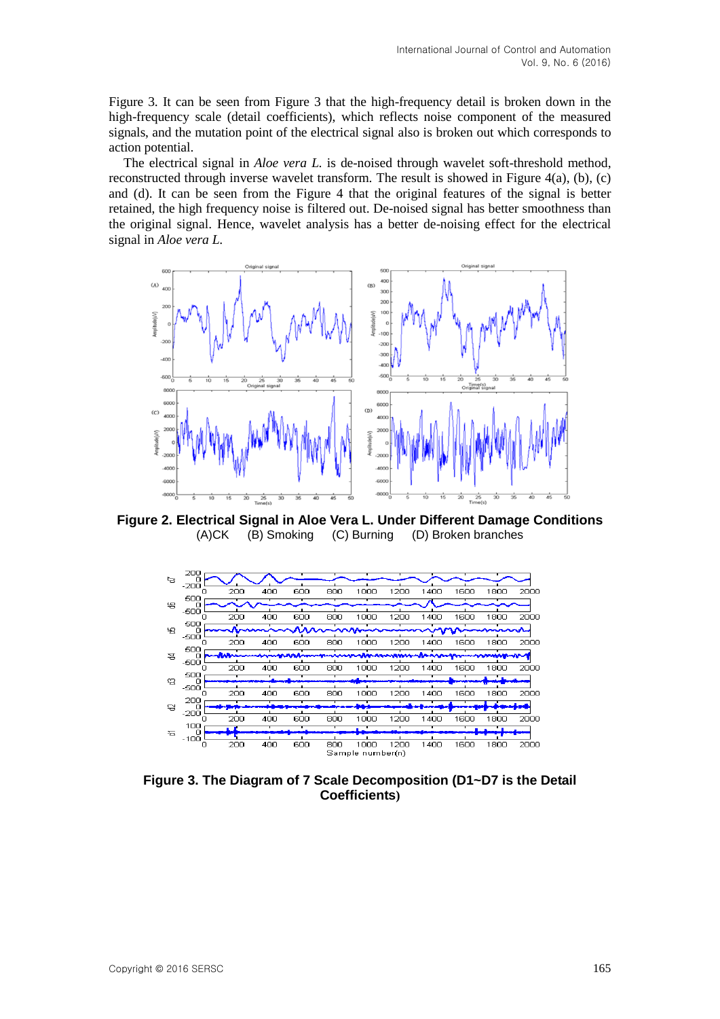Figure 3. It can be seen from Figure 3 that the high-frequency detail is broken down in the high-frequency scale (detail coefficients), which reflects noise component of the measured signals, and the mutation point of the electrical signal also is broken out which corresponds to action potential.

The electrical signal in *Aloe vera L.* is de-noised through wavelet soft-threshold method, reconstructed through inverse wavelet transform. The result is showed in Figure 4(a), (b), (c) and (d). It can be seen from the Figure 4 that the original features of the signal is better retained, the high frequency noise is filtered out. De-noised signal has better smoothness than the original signal. Hence, wavelet analysis has a better de-noising effect for the electrical signal in *Aloe vera L.*



**Figure 2. Electrical Signal in Aloe Vera L. Under Different Damage Conditions** (A)CK (B) Smoking (C) Burning (D) Broken branches



**Figure 3. The Diagram of 7 Scale Decomposition (D1~D7 is the Detail Coefficients)**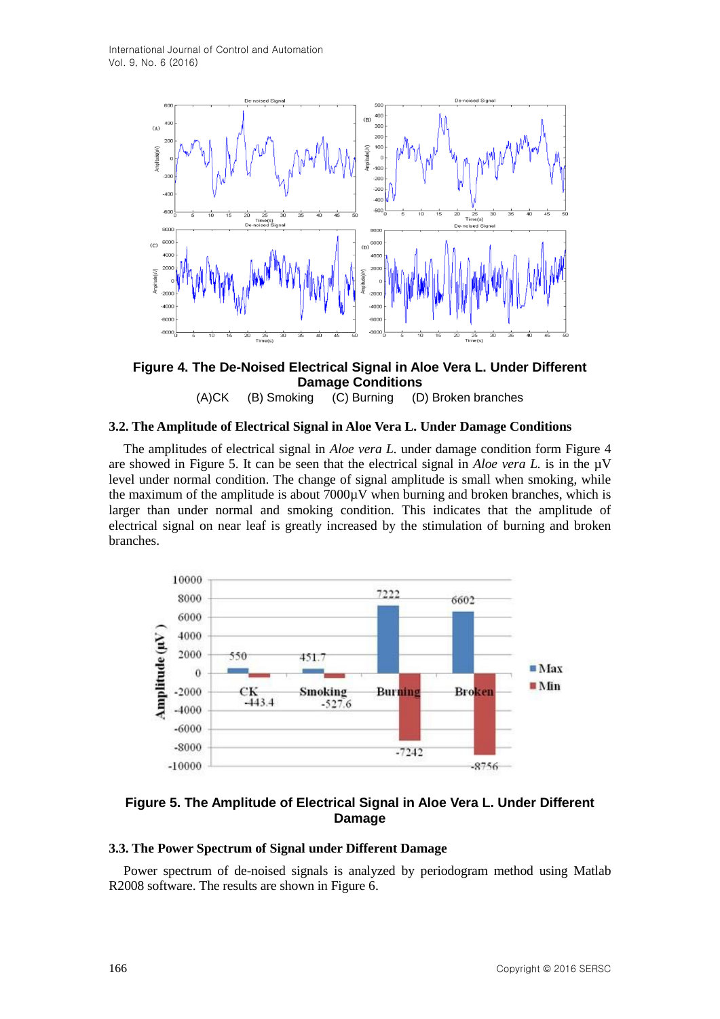

**Figure 4. The De-Noised Electrical Signal in Aloe Vera L. Under Different Damage Conditions** (A)CK (B) Smoking (C) Burning (D) Broken branches

### **3.2. The Amplitude of Electrical Signal in Aloe Vera L. Under Damage Conditions**

The amplitudes of electrical signal in *Aloe vera L.* under damage condition form Figure 4 are showed in Figure 5. It can be seen that the electrical signal in *Aloe vera L*. is in the  $\mu$ V level under normal condition. The change of signal amplitude is small when smoking, while the maximum of the amplitude is about  $7000\mu$ V when burning and broken branches, which is larger than under normal and smoking condition. This indicates that the amplitude of electrical signal on near leaf is greatly increased by the stimulation of burning and broken branches.



## **Figure 5. The Amplitude of Electrical Signal in Aloe Vera L. Under Different Damage**

#### **3.3. The Power Spectrum of Signal under Different Damage**

Power spectrum of de-noised signals is analyzed by periodogram method using Matlab R2008 software. The results are shown in Figure 6.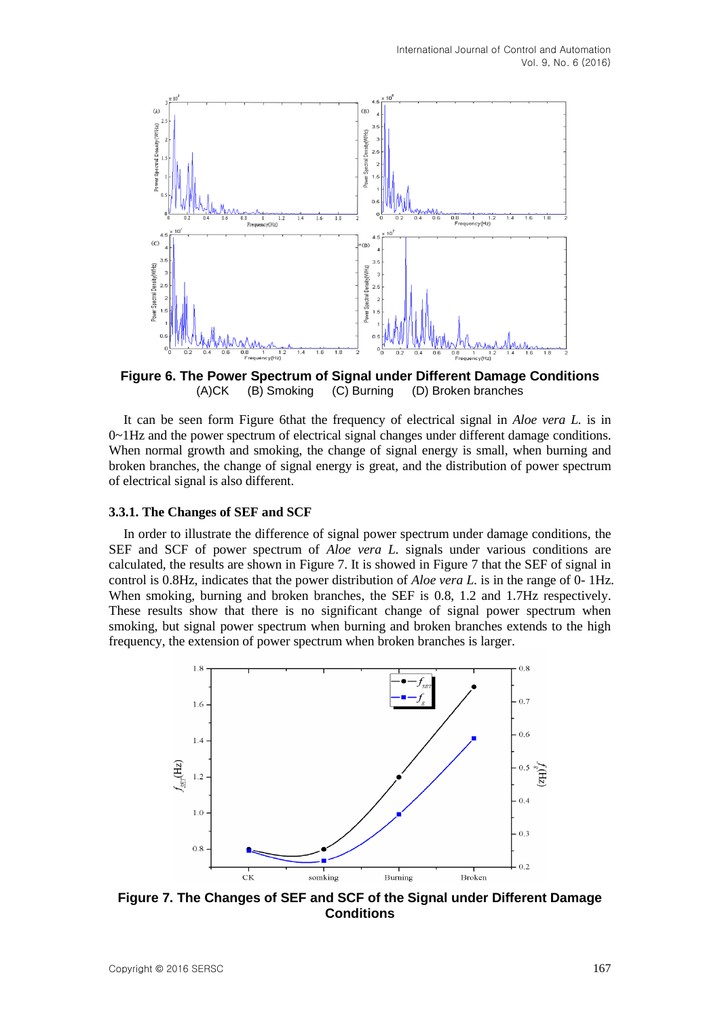

**Figure 6. The Power Spectrum of Signal under Different Damage Conditions** (A)CK (B) Smoking (C) Burning (D) Broken branches

It can be seen form Figure 6that the frequency of electrical signal in *Aloe vera L.* is in  $0\nu$ -1Hz and the power spectrum of electrical signal changes under different damage conditions. When normal growth and smoking, the change of signal energy is small, when burning and broken branches, the change of signal energy is great, and the distribution of power spectrum of electrical signal is also different.

#### **3.3.1. The Changes of SEF and SCF**

In order to illustrate the difference of signal power spectrum under damage conditions, the SEF and SCF of power spectrum of *Aloe vera L.* signals under various conditions are calculated, the results are shown in Figure 7. It is showed in Figure 7 that the SEF of signal in control is 0.8Hz, indicates that the power distribution of *Aloe vera L.* is in the range of 0- 1Hz. When smoking, burning and broken branches, the SEF is 0.8, 1.2 and 1.7Hz respectively. These results show that there is no significant change of signal power spectrum when smoking, but signal power spectrum when burning and broken branches extends to the high frequency, the extension of power spectrum when broken branches is larger.



**Figure 7. The Changes of SEF and SCF of the Signal under Different Damage Conditions**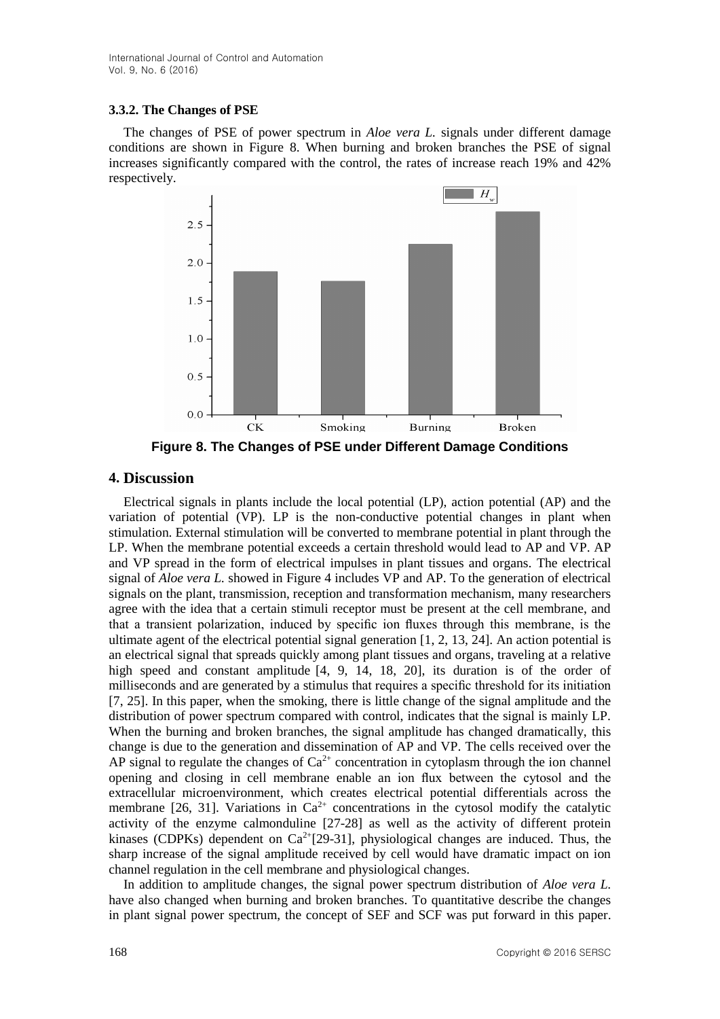## **3.3.2. The Changes of PSE**

The changes of PSE of power spectrum in *Aloe vera L.* signals under different damage conditions are shown in Figure 8. When burning and broken branches the PSE of signal increases significantly compared with the control, the rates of increase reach 19% and 42% respectively.



**Figure 8. The Changes of PSE under Different Damage Conditions**

## **4. Discussion**

Electrical signals in plants include the local potential (LP), action potential (AP) and the variation of potential (VP). LP is the non-conductive potential changes in plant when stimulation. External stimulation will be converted to membrane potential in plant through the LP. When the membrane potential exceeds a certain threshold would lead to AP and VP. AP and VP spread in the form of electrical impulses in plant tissues and organs. The electrical signal of *Aloe vera L.* showed in Figure 4 includes VP and AP. To the generation of electrical signals on the plant, transmission, reception and transformation mechanism, many researchers agree with the idea that a certain stimuli receptor must be present at the cell membrane, and that a transient polarization, induced by specific ion fluxes through this membrane, is the ultimate agent of the electrical potential signal generation  $[1, 2, 13, 24]$ . An action potential is an electrical signal that spreads quickly among plant tissues and organs, traveling at a relative high speed and constant amplitude [4, 9, 14, 18, 20], its duration is of the order of milliseconds and are generated by a stimulus that requires a specific threshold for its initiation [7, 25]. In this paper, when the smoking, there is little change of the signal amplitude and the distribution of power spectrum compared with control, indicates that the signal is mainly LP. When the burning and broken branches, the signal amplitude has changed dramatically, this change is due to the generation and dissemination of AP and VP. The cells received over the AP signal to regulate the changes of  $Ca^{2+}$  concentration in cytoplasm through the ion channel opening and closing in cell membrane enable an ion flux between the cytosol and the extracellular microenvironment, which creates electrical potential differentials across the membrane [26, 31]. Variations in  $Ca^{2+}$  concentrations in the cytosol modify the catalytic activity of the enzyme calmonduline [27-28] as well as the activity of different protein kinases (CDPKs) dependent on  $Ca^{2+}[29-31]$ , physiological changes are induced. Thus, the sharp increase of the signal amplitude received by cell would have dramatic impact on ion channel regulation in the cell membrane and physiological changes.

In addition to amplitude changes, the signal power spectrum distribution of *Aloe vera L.* have also changed when burning and broken branches. To quantitative describe the changes in plant signal power spectrum, the concept of SEF and SCF was put forward in this paper.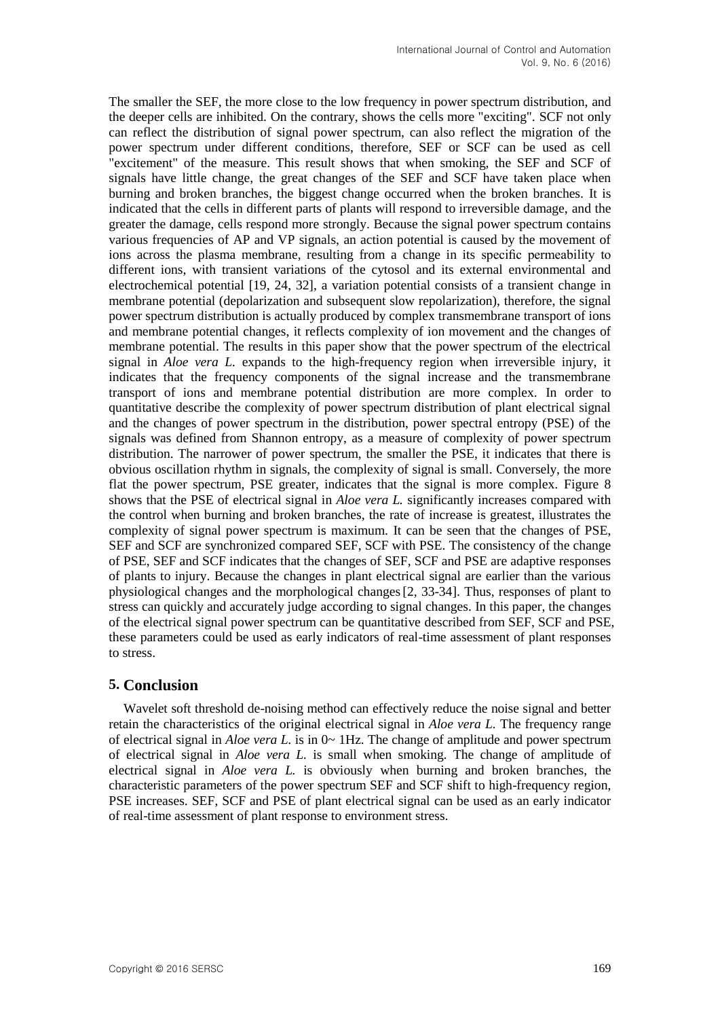The smaller the SEF, the more close to the low frequency in power spectrum distribution, and the deeper cells are inhibited. On the contrary, shows the cells more "exciting". SCF not only can reflect the distribution of signal power spectrum, can also reflect the migration of the power spectrum under different conditions, therefore, SEF or SCF can be used as cell "excitement" of the measure. This result shows that when smoking, the SEF and SCF of signals have little change, the great changes of the SEF and SCF have taken place when burning and broken branches, the biggest change occurred when the broken branches. It is indicated that the cells in different parts of plants will respond to irreversible damage, and the greater the damage, cells respond more strongly. Because the signal power spectrum contains various frequencies of AP and VP signals, an action potential is caused by the movement of ions across the plasma membrane, resulting from a change in its specific permeability to different ions, with transient variations of the cytosol and its external environmental and electrochemical potential [19, 24, 32], a variation potential consists of a transient change in membrane potential (depolarization and subsequent slow repolarization), therefore, the signal power spectrum distribution is actually produced by complex transmembrane transport of ions and membrane potential changes, it reflects complexity of ion movement and the changes of membrane potential. The results in this paper show that the power spectrum of the electrical signal in *Aloe vera L.* expands to the high-frequency region when irreversible injury, it indicates that the frequency components of the signal increase and the transmembrane transport of ions and membrane potential distribution are more complex. In order to quantitative describe the complexity of power spectrum distribution of plant electrical signal and the changes of power spectrum in the distribution, power spectral entropy (PSE) of the signals was defined from Shannon entropy, as a measure of complexity of power spectrum distribution. The narrower of power spectrum, the smaller the PSE, it indicates that there is obvious oscillation rhythm in signals, the complexity of signal is small. Conversely, the more flat the power spectrum, PSE greater, indicates that the signal is more complex. Figure 8 shows that the PSE of electrical signal in *Aloe vera L.* significantly increases compared with the control when burning and broken branches, the rate of increase is greatest, illustrates the complexity of signal power spectrum is maximum. It can be seen that the changes of PSE, SEF and SCF are synchronized compared SEF, SCF with PSE. The consistency of the change of PSE, SEF and SCF indicates that the changes of SEF, SCF and PSE are adaptive responses of plants to injury. Because the changes in plant electrical signal are earlier than the various physiological changes and the morphological changes[2, 33-34]. Thus, responses of plant to stress can quickly and accurately judge according to signal changes. In this paper, the changes of the electrical signal power spectrum can be quantitative described from SEF, SCF and PSE, these parameters could be used as early indicators of real-time assessment of plant responses to stress.

## **5. Conclusion**

Wavelet soft threshold de-noising method can effectively reduce the noise signal and better retain the characteristics of the original electrical signal in *Aloe vera L.* The frequency range of electrical signal in *Aloe vera L*, is in  $0 \sim 1$  Hz. The change of amplitude and power spectrum of electrical signal in *Aloe vera L.* is small when smoking. The change of amplitude of electrical signal in *Aloe vera L.* is obviously when burning and broken branches, the characteristic parameters of the power spectrum SEF and SCF shift to high-frequency region, PSE increases. SEF, SCF and PSE of plant electrical signal can be used as an early indicator of real-time assessment of plant response to environment stress.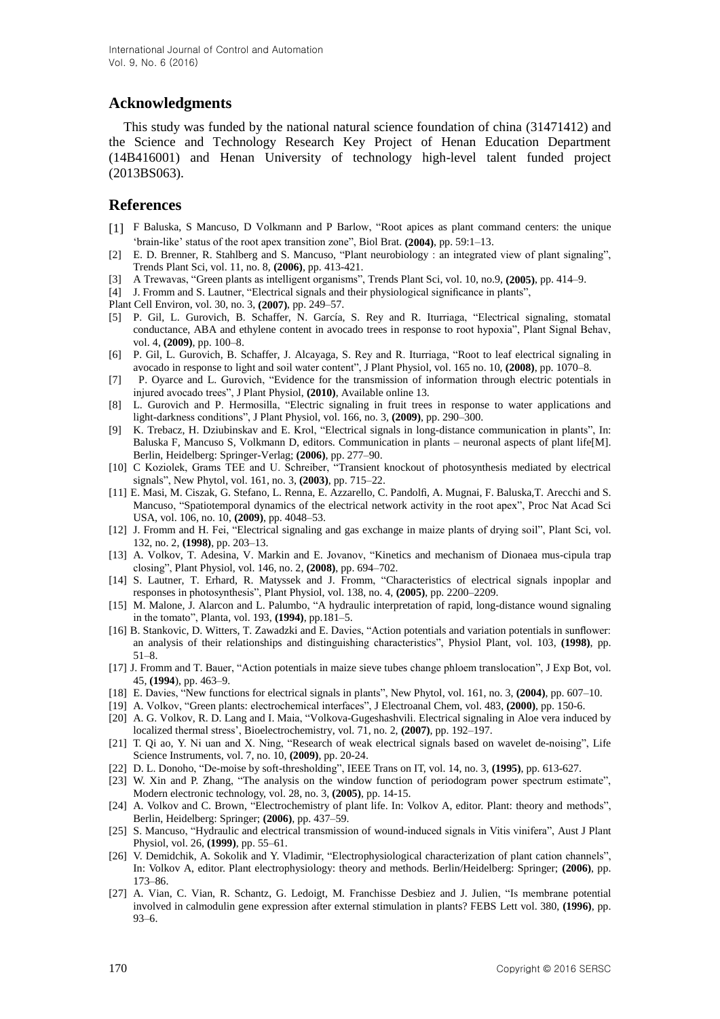## **Acknowledgments**

This study was funded by the national natural science foundation of china (31471412) and the Science and Technology Research Key Project of Henan Education Department (14B416001) and Henan University of technology high-level talent funded project (2013BS063).

## **References**

- [1] F Baluska, S Mancuso, D Volkmann and P Barlow, "Root apices as plant command centers: the unique 'brain-like' status of the root apex transition zone", Biol Brat. **(2004)**, pp. 59:1–13.
- [2] E. D. Brenner, R. Stahlberg and S. Mancuso, "Plant neurobiology : an integrated view of plant signaling", Trends Plant Sci, vol. 11, no. 8, **(2006)**, pp. 413-421.
- [3] A Trewavas, "Green plants as intelligent organisms", Trends Plant Sci, vol. 10, no.9, **(2005)**, pp. 414–9.
- [4] J. Fromm and S. Lautner, "Electrical signals and their physiological significance in plants",
- Plant Cell Environ, vol. 30, no. 3, **(2007)**, pp. 249–57.
- [5] P. Gil, L. Gurovich, B. Schaffer, N. García, S. Rey and R. Iturriaga, "Electrical signaling, stomatal conductance, ABA and ethylene content in avocado trees in response to root hypoxia", Plant Signal Behav, vol. 4, **(2009)**, pp. 100–8.
- [6] P. Gil, L. Gurovich, B. Schaffer, J. Alcayaga, S. Rey and R. Iturriaga, "Root to leaf electrical signaling in avocado in response to light and soil water content", J Plant Physiol, vol. 165 no. 10, **(2008)**, pp. 1070–8.
- [7] P. Oyarce and L. Gurovich, "Evidence for the transmission of information through electric potentials in injured avocado trees", J Plant Physiol, **(2010)**, Available online 13.
- [8] L. Gurovich and P. Hermosilla, "Electric signaling in fruit trees in response to water applications and light-darkness conditions", J Plant Physiol, vol. 166, no. 3, **(2009)**, pp. 290–300.
- [9] K. Trebacz, H. Dziubinskav and E. Krol, "Electrical signals in long-distance communication in plants", In: Baluska F, Mancuso S, Volkmann D, editors. Communication in plants – neuronal aspects of plant life[M]. Berlin, Heidelberg: Springer-Verlag; **(2006)**, pp. 277–90.
- [10] C Koziolek, Grams TEE and U. Schreiber, "Transient knockout of photosynthesis mediated by electrical signals", New Phytol, vol. 161, no. 3, **(2003)**, pp. 715–22.
- [11] E. Masi, M. Ciszak, G. Stefano, L. Renna, E. Azzarello, C. Pandolfi, A. Mugnai, F. Baluska,T. Arecchi and S. Mancuso, "Spatiotemporal dynamics of the electrical network activity in the root apex", Proc Nat Acad Sci USA, vol. 106, no. 10, **(2009)**, pp. 4048–53.
- [12] J. Fromm and H. Fei, "Electrical signaling and gas exchange in maize plants of drying soil", Plant Sci, vol. 132, no. 2, **(1998)**, pp. 203–13.
- [13] A. Volkov, T. Adesina, V. Markin and E. Jovanov, "Kinetics and mechanism of Dionaea mus-cipula trap closing", Plant Physiol, vol. 146, no. 2, **(2008)**, pp. 694–702.
- [14] S. Lautner, T. Erhard, R. Matyssek and J. Fromm, "Characteristics of electrical signals inpoplar and responses in photosynthesis", Plant Physiol, vol. 138, no. 4, **(2005)**, pp. 2200–2209.
- [15] M. Malone, J. Alarcon and L. Palumbo, "A hydraulic interpretation of rapid, long-distance wound signaling in the tomato", Planta, vol. 193, **(1994)**, pp.181–5.
- [16] B. Stankovic, D. Witters, T. Zawadzki and E. Davies, "Action potentials and variation potentials in sunflower: an analysis of their relationships and distinguishing characteristics", Physiol Plant, vol. 103, **(1998)**, pp. 51–8.
- [17] J. Fromm and T. Bauer, "Action potentials in maize sieve tubes change phloem translocation", J Exp Bot, vol. 45, **(1994**), pp. 463–9.
- [18] E. Davies, "New functions for electrical signals in plants", New Phytol, vol. 161, no. 3, **(2004)**, pp. 607–10.
- [19] A. Volkov, "Green plants: electrochemical interfaces", J Electroanal Chem, vol. 483, **(2000)**, pp. 150-6.
- [20] A. G. Volkov, R. D. Lang and I. Maia, "Volkova-Gugeshashvili. Electrical signaling in Aloe vera induced by localized thermal stress', Bioelectrochemistry, vol. 71, no. 2, **(2007)**, pp. 192–197.
- [21] T. Qi ao, Y. Ni uan and X. Ning, "Research of weak electrical signals based on wavelet de-noising", Life Science Instruments, vol. 7, no. 10, **(2009)**, pp. 20-24.
- [22] D. L. Donoho, "De-moise by soft-thresholding", IEEE Trans on IT, vol. 14, no. 3, **(1995)**, pp. 613-627.
- [23] W. Xin and P. Zhang, "The analysis on the window function of periodogram power spectrum estimate", Modern electronic technology, vol. 28, no. 3, **(2005)**, pp. 14-15.
- [24] A. Volkov and C. Brown, "Electrochemistry of plant life. In: Volkov A, editor. Plant: theory and methods", Berlin, Heidelberg: Springer; **(2006)**, pp. 437–59.
- [25] S. Mancuso, "Hydraulic and electrical transmission of wound-induced signals in Vitis vinifera", Aust J Plant Physiol, vol. 26, **(1999)**, pp. 55–61.
- [26] V. Demidchik, A. Sokolik and Y. Vladimir, "Electrophysiological characterization of plant cation channels", In: Volkov A, editor. Plant electrophysiology: theory and methods. Berlin/Heidelberg: Springer; **(2006)**, pp. 173–86.
- [27] A. Vian, C. Vian, R. Schantz, G. Ledoigt, M. Franchisse Desbiez and J. Julien, "Is membrane potential involved in calmodulin gene expression after external stimulation in plants? FEBS Lett vol. 380, **(1996)**, pp. 93–6.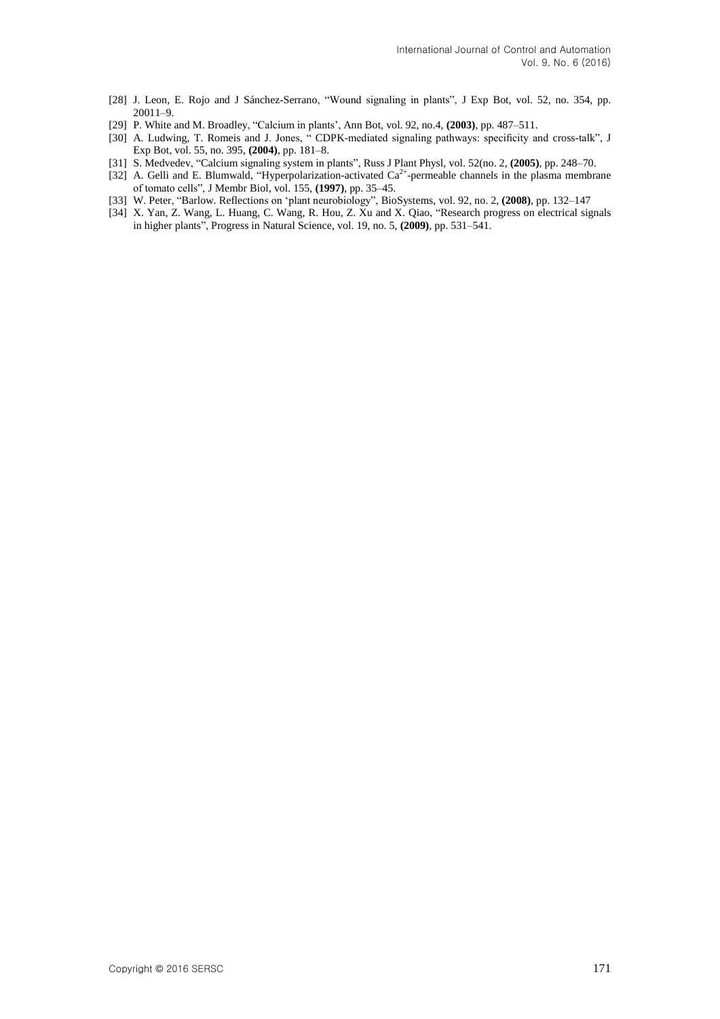- [28] J. Leon, E. Rojo and J Sánchez-Serrano, "Wound signaling in plants", J Exp Bot, vol. 52, no. 354, pp. 20011–9.
- [29] P. White and M. Broadley, "Calcium in plants', Ann Bot, vol. 92, no.4, **(2003)**, pp. 487–511.
- [30] A. Ludwing, T. Romeis and J. Jones, " CDPK-mediated signaling pathways: specificity and cross-talk", J Exp Bot, vol. 55, no. 395, **(2004)**, pp. 181–8.
- [31] S. Medvedev, "Calcium signaling system in plants", Russ J Plant Physl, vol. 52(no. 2, **(2005)**, pp. 248–70.
- [32] A. Gelli and E. Blumwald, "Hyperpolarization-activated Ca<sup>2+</sup>-permeable channels in the plasma membrane of tomato cells", J Membr Biol, vol. 155, **(1997)**, pp. 35–45.
- [33] W. Peter, "Barlow. Reflections on 'plant neurobiology", BioSystems, vol. 92, no. 2, **(2008)**, pp. 132–147
- [34] X. Yan, Z. Wang, L. Huang, C. Wang, R. Hou, Z. Xu and X. Qiao, "Research progress on electrical signals in higher plants", Progress in Natural Science, vol. 19, no. 5, **(2009)**, pp. 531–541.